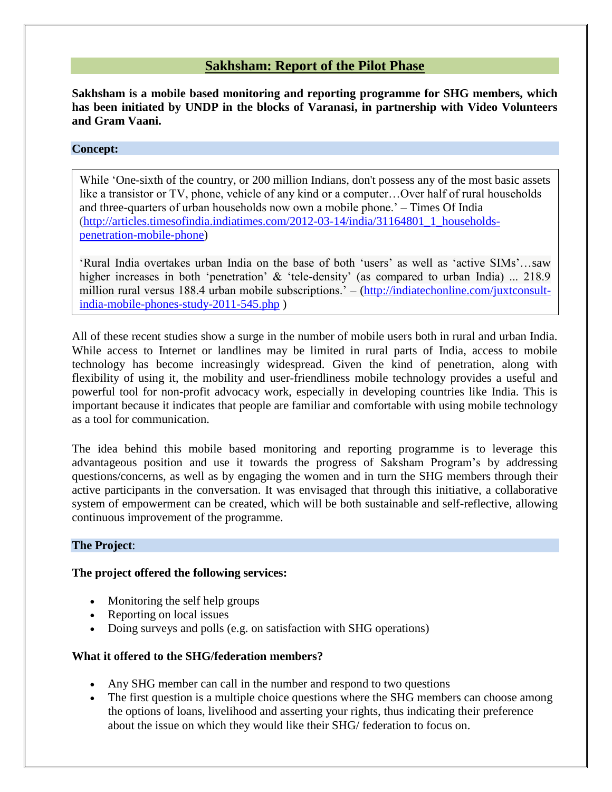# **Sakhsham: Report of the Pilot Phase**

**Sakhsham is a mobile based monitoring and reporting programme for SHG members, which has been initiated by UNDP in the blocks of Varanasi, in partnership with Video Volunteers and Gram Vaani.**

## **Concept:**

While 'One-sixth of the country, or 200 million Indians, don't possess any of the most basic assets like a transistor or TV, phone, vehicle of any kind or a computer…Over half of rural households and three-quarters of urban households now own a mobile phone.' – Times Of India [\(http://articles.timesofindia.indiatimes.com/2012-03-14/india/31164801\\_1\\_households](http://articles.timesofindia.indiatimes.com/2012-03-14/india/31164801_1_households-penetration-mobile-phone)[penetration-mobile-phone\)](http://articles.timesofindia.indiatimes.com/2012-03-14/india/31164801_1_households-penetration-mobile-phone)

'Rural India overtakes urban India on the base of both 'users' as well as 'active SIMs'…saw higher increases in both 'penetration' & 'tele-density' (as compared to urban India) ... 218.9 million rural versus 188.4 urban mobile subscriptions.' – [\(http://indiatechonline.com/juxtconsult](http://indiatechonline.com/juxtconsult-india-mobile-phones-study-2011-545.php)[india-mobile-phones-study-2011-545.php](http://indiatechonline.com/juxtconsult-india-mobile-phones-study-2011-545.php) )

All of these recent studies show a surge in the number of mobile users both in rural and urban India. While access to Internet or landlines may be limited in rural parts of India, access to mobile technology has become increasingly widespread. Given the kind of penetration, along with flexibility of using it, the mobility and user-friendliness mobile technology provides a useful and powerful tool for non-profit advocacy work, especially in developing countries like India. This is important because it indicates that people are familiar and comfortable with using mobile technology as a tool for communication.

The idea behind this mobile based monitoring and reporting programme is to leverage this advantageous position and use it towards the progress of Saksham Program's by addressing questions/concerns, as well as by engaging the women and in turn the SHG members through their active participants in the conversation. It was envisaged that through this initiative, a collaborative system of empowerment can be created, which will be both sustainable and self-reflective, allowing continuous improvement of the programme.

## **The Project**:

### **The project offered the following services:**

- Monitoring the self help groups
- Reporting on local issues
- Doing surveys and polls (e.g. on satisfaction with SHG operations)

## **What it offered to the SHG/federation members?**

- Any SHG member can call in the number and respond to two questions
- The first question is a multiple choice questions where the SHG members can choose among the options of loans, livelihood and asserting your rights, thus indicating their preference about the issue on which they would like their SHG/ federation to focus on.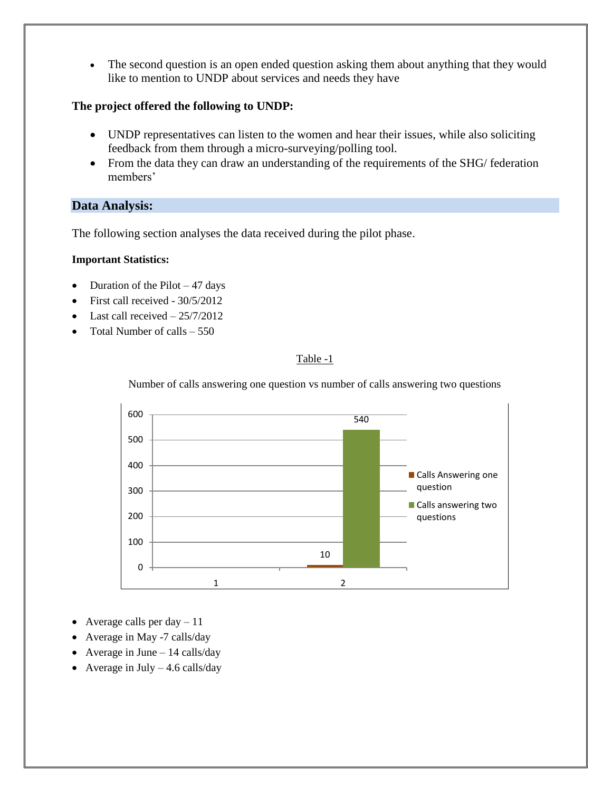• The second question is an open ended question asking them about anything that they would like to mention to UNDP about services and needs they have

## **The project offered the following to UNDP:**

- UNDP representatives can listen to the women and hear their issues, while also soliciting feedback from them through a micro-surveying/polling tool.
- From the data they can draw an understanding of the requirements of the SHG/ federation members'

# **Data Analysis:**

The following section analyses the data received during the pilot phase.

## **Important Statistics:**

- Duration of the Pilot  $-47$  days
- First call received 30/5/2012
- $\bullet$  Last call received  $-25/7/2012$
- Total Number of calls  $-550$

## Table -1

Number of calls answering one question vs number of calls answering two questions



- Average calls per day  $-11$
- Average in May -7 calls/day
- Average in June  $-14$  calls/day
- Average in July  $-4.6$  calls/day